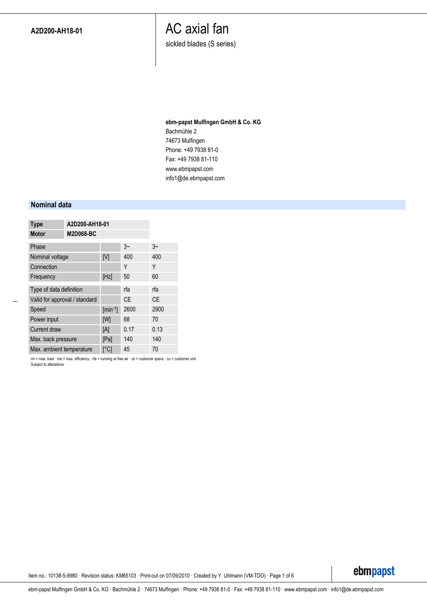sickled blades (S series)

### **ebm-papst Mulfingen GmbH & Co. KG** Bachmühle 2 74673 Mulfingen Phone: +49 7938 81-0 Fax: +49 7938 81-110 www.ebmpapst.com info1@de.ebmpapst.com

#### **Nominal data**

| <b>Type</b>                   | A2D200-AH18-01   |      |           |
|-------------------------------|------------------|------|-----------|
| <b>Motor</b>                  | <b>M2D068-BC</b> |      |           |
| Phase                         |                  | $3-$ | $3-$      |
| Nominal voltage               | [V]              | 400  | 400       |
| Connection                    |                  | Υ    | Υ         |
| Frequency                     | [Hz]             | 50   | 60        |
| Type of data definition       |                  | rfa  | rfa       |
| Valid for approval / standard |                  | СE   | <b>CE</b> |
| Speed                         | $[min-1]$        | 2600 | 2900      |
| Power input                   | [W]              | 68   | 70        |
| <b>Current draw</b>           | [A]              | 0.17 | 0.13      |
| Max. back pressure            | [Pa]             | 140  | 140       |
| Max. ambient temperature      | $\lceil$ °Cl     | 45   | 70        |

ml = max. load · me = max. efficiency · rfa = running at free air · cs = customer specs · cu = customer unit Subject to alterations

Item no.: 10138-5-9980 · Revision status: KM65103 · Print-out on 07/09/2010 · Created by Y. Uhlmann (VM-TDO) · Page 1 of 6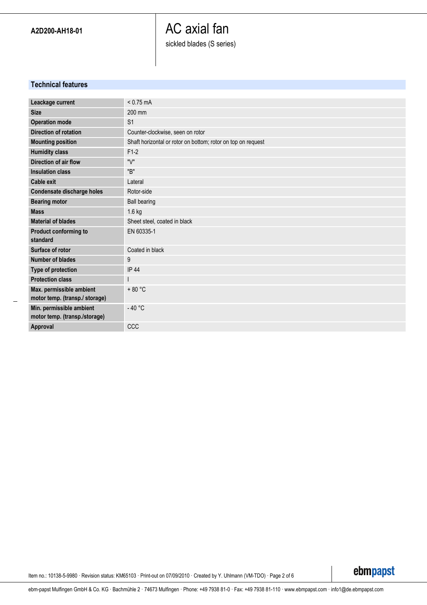# AC axial fan sickled blades (S series)

### **Technical features**

| Leackage current                  | $< 0.75$ mA                                                  |
|-----------------------------------|--------------------------------------------------------------|
| <b>Size</b>                       | 200 mm                                                       |
| <b>Operation mode</b>             | S <sub>1</sub>                                               |
| <b>Direction of rotation</b>      | Counter-clockwise, seen on rotor                             |
| <b>Mounting position</b>          | Shaft horizontal or rotor on bottom; rotor on top on request |
| <b>Humidity class</b>             | $F1-2$                                                       |
| Direction of air flow             | "\/"                                                         |
| <b>Insulation class</b>           | "B"                                                          |
| Cable exit                        | Lateral                                                      |
| Condensate discharge holes        | Rotor-side                                                   |
| <b>Bearing motor</b>              | <b>Ball bearing</b>                                          |
| <b>Mass</b>                       | 1.6 kg                                                       |
| <b>Material of blades</b>         | Sheet steel, coated in black                                 |
| Product conforming to<br>standard | EN 60335-1                                                   |
|                                   |                                                              |
| Surface of rotor                  | Coated in black                                              |
| <b>Number of blades</b>           | 9                                                            |
| Type of protection                | <b>IP 44</b>                                                 |
| <b>Protection class</b>           |                                                              |
| Max. permissible ambient          | $+80 °C$                                                     |
| motor temp. (transp./ storage)    |                                                              |
| Min. permissible ambient          | $-40 °C$                                                     |
| motor temp. (transp./storage)     |                                                              |
| Approval                          | CCC                                                          |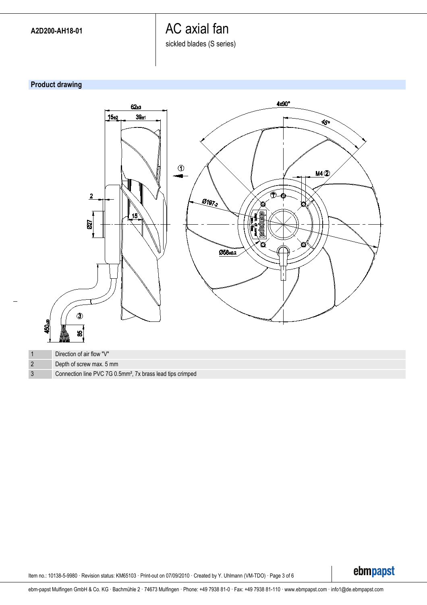sickled blades (S series)

### **Product drawing**



Item no.: 10138-5-9980 · Revision status: KM65103 · Print-out on 07/09/2010 · Created by Y. Uhlmann (VM-TDO) · Page 3 of 6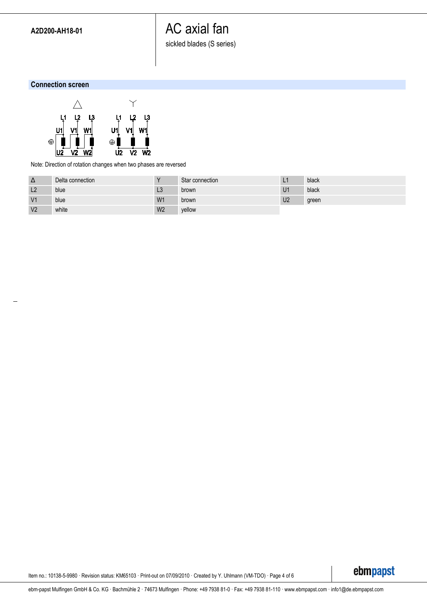sickled blades (S series)

#### **Connection screen**



Note: Direction of rotation changes when two phases are reversed

| $\Delta$       | Delta connection |                | Star connection |                | black |
|----------------|------------------|----------------|-----------------|----------------|-------|
| L <sub>2</sub> | blue             | LJ             | brown           | U <sub>1</sub> | black |
| V <sub>1</sub> | blue             | W1             | brown           | U <sub>2</sub> | green |
| V <sub>2</sub> | white            | W <sub>2</sub> | vellow          |                |       |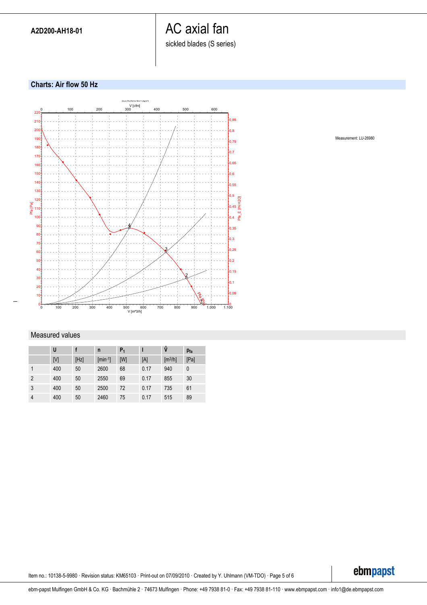sickled blades (S series)

#### **Charts: Air flow 50 Hz**



### Measured values

|                | U   |      | n            | $P_1$ |      | ů                            | $P_{fa}$ |
|----------------|-----|------|--------------|-------|------|------------------------------|----------|
|                | [V] | [Hz] | $[min^{-1}]$ | [W]   | [A]  | $\left[\frac{m^3}{h}\right]$ | [Pa]     |
|                | 400 | 50   | 2600         | 68    | 0.17 | 940                          | 0        |
| $\overline{2}$ | 400 | 50   | 2550         | 69    | 0.17 | 855                          | 30       |
| 3              | 400 | 50   | 2500         | 72    | 0.17 | 735                          | 61       |
| $\overline{4}$ | 400 | 50   | 2460         | 75    | 0.17 | 515                          | 89       |

Measurement: LU-26980

Item no.: 10138-5-9980 · Revision status: KM65103 · Print-out on 07/09/2010 · Created by Y. Uhlmann (VM-TDO) · Page 5 of 6

ebmpapst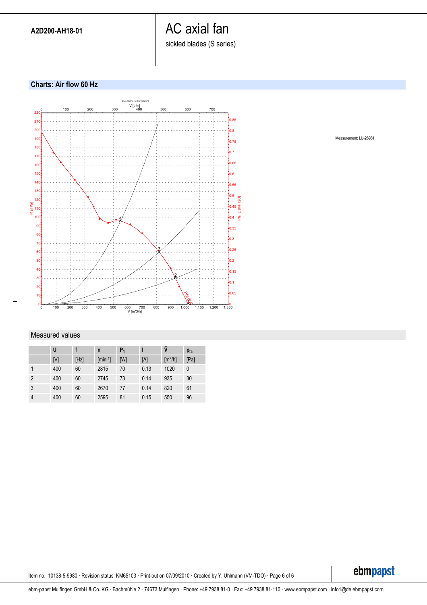sickled blades (S series)

#### **Charts: Air flow 60 Hz**



### Measured values

|                | U   |      | n                  | $P_1$ |      | ů                            | $p_{fa}$     |
|----------------|-----|------|--------------------|-------|------|------------------------------|--------------|
|                | [V] | [Hz] | ${\rm [min^{-1}]}$ | [W]   | [A]  | $\left[\frac{m^3}{h}\right]$ | [Pa]         |
|                | 400 | 60   | 2815               | 70    | 0.13 | 1020                         | $\mathbf{0}$ |
| $\overline{2}$ | 400 | 60   | 2745               | 73    | 0.14 | 935                          | 30           |
| 3              | 400 | 60   | 2670               | 77    | 0.14 | 820                          | 61           |
| $\overline{4}$ | 400 | 60   | 2595               | 81    | 0.15 | 550                          | 96           |

Measurement: LU-26981

Item no.: 10138-5-9980 · Revision status: KM65103 · Print-out on 07/09/2010 · Created by Y. Uhlmann (VM-TDO) · Page 6 of 6

ebmpapst